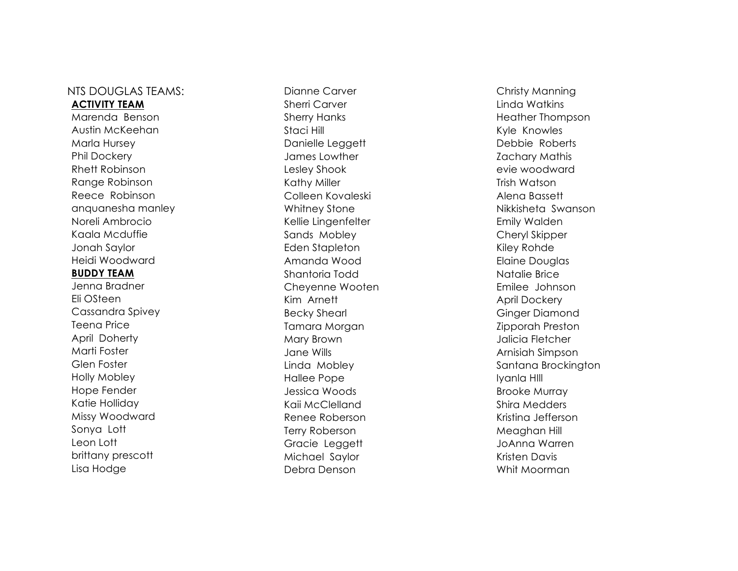## NTS DOUGLAS TEAMS: **ACTIVITY TEAM**

Marenda Benson Austin McKeehan Marla Hursey Phil Dockery Rhett Robinson Range Robinson Reece Robinson anquanesha manley Noreli Ambrocio Kaala Mcduffie Jonah Saylor Heidi Woodward **BUDDY TEAM** Jenna Bradner Eli OSteen Cassandra Spivey Teena Price April Doherty Marti Foster Glen Foster Holly Mobley Hope Fender

Katie Holliday Missy Woodward

brittany prescott Lisa Hodge

Sonya Lott Leon Lott

Dianne Carver Sherri Carver Sherry Hanks Staci Hill Danielle Leggett James Lowther Lesley Shook Kathy Miller Colleen Kovaleski Whitney Stone Kellie Lingenfelter Sands Mobley Eden Stapleton Amanda Wood Shantoria Todd Cheyenne Wooten Kim Arnett Becky Shearl Tamara Morgan Mary Brown Jane Wills Linda Mobley Hallee Pope Jessica Woods Kaii McClelland Renee Roberson Terry Roberson Gracie Leggett Michael Saylor Debra Denson

Christy Manning Linda Watkins Heather Thompson Kyle Knowles Debbie Roberts Zachary Mathis evie woodward Trish Watson Alena Bassett Nikkisheta Swanson Emily Walden Cheryl Skipper Kiley Rohde Elaine Douglas Natalie Brice Emilee Johnson April Dockery Ginger Diamond Zipporah Preston Jalicia Fletcher Arnisiah Simpson Santana Brockington Iyanla HIll Brooke Murray Shira Medders Kristina Jefferson Meaghan Hill JoAnna Warren Kristen Davis Whit Moorman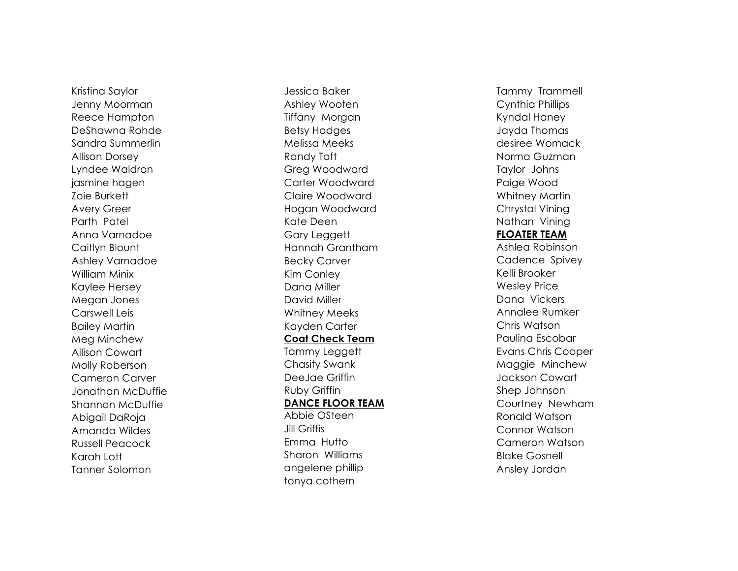Kristina Saylor Jenny Moorman Reece Hampton DeShawna Rohde Sandra Summerlin Allison Dorsey Lyndee Waldron jasmine hagen Zoie Burkett Avery Greer Parth Patel Anna Varnadoe Caitlyn Blount Ashley Varnadoe William Minix Kaylee Hersey Megan Jones Carswell Leis Bailey Martin Meg Minchew Allison Cowart Molly Roberson Cameron Carver Jonathan McDuffie Shannon McDuffie Abigail DaRoja Amanda Wildes Russell Peacock Karah Lott Tanner Solomon

Jessica Baker Ashley Wooten Tiffany Morgan Betsy Hodges Melissa Meeks Randy Taft Greg Woodward Carter Woodward Claire Woodward Hogan Woodward Kate Deen Gary Leggett Hannah Grantham Becky Carver Kim Conley Dana Miller David Miller Whitney Meeks Kayden Carter **Coat Check Team** Tammy Leggett Chasity Swank DeeJae Griffin Ruby Griffin **DANCE FLOOR TEAM** Abbie OSteen Jill Griffis Emma Hutto Sharon Williams angelene phillip tonya cothern

Tammy Trammell Cynthia Phillips Kyndal Haney Jayda Thomas desiree Womack Norma Guzman Taylor Johns Paige Wood Whitney Martin Chrystal Vining Nathan Vining **FLOATER TEAM** Ashlea Robinson Cadence Spivey Kelli Brooker Wesley Price Dana Vickers Annalee Rumker Chris Watson Paulina Escobar Evans Chris Cooper Maggie Minchew Jackson Cowart Shep Johnson Courtney Newham Ronald Watson Connor Watson Cameron Watson Blake Gosnell Ansley Jordan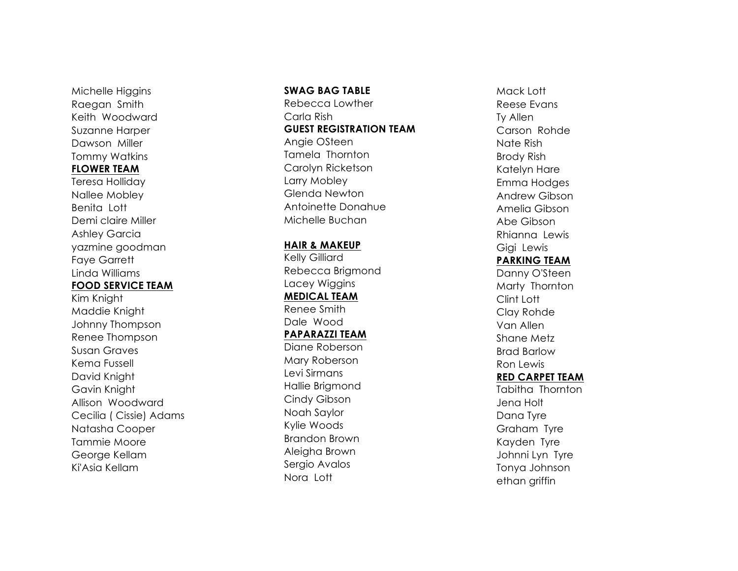Michelle Higgins Raegan Smith Keith Woodward Suzanne Harper Dawson Miller Tommy Watkins **FLOWER TEAM** Teresa Holliday

Nallee Mobley Benita Lott Demi claire Miller Ashley Garcia yazmine goodman Faye Garrett Linda Williams **FOOD SERVICE TEAM**

Kim Knight Maddie Knight Johnny Thompson Renee Thompson Susan Graves Kema Fussell David Knight Gavin Knight Allison Woodward Cecilia ( Cissie) Adams Natasha Cooper Tammie Moore George Kellam Ki'Asia Kellam

## **SWAG BAG TABLE**

Rebecca Lowther Carla Rish **GUEST REGISTRATION TEAM** Angie OSteen Tamela Thornton Carolyn Ricketson Larry Mobley Glenda Newton Antoinette Donahue Michelle Buchan

## **HAIR & MAKEUP**

Kelly Gilliard Rebecca Brigmond Lacey Wiggins **MEDICAL TEAM** Renee Smith Dale Wood **PAPARAZZI TEAM** Diane Roberson Mary Roberson Levi Sirmans Hallie Brigmond Cindy Gibson Noah Saylor Kylie Woods Brandon Brown Aleigha Brown Sergio Avalos Nora Lott

Mack Lott Reese Evans Ty Allen Carson Rohde Nate Rish Brody Rish Katelyn Hare Emma Hodges Andrew Gibson Amelia Gibson Abe Gibson Rhianna Lewis Gigi Lewis **PARKING TEAM** Danny O'Steen Marty Thornton Clint Lott Clay Rohde Van Allen Shane Metz Brad Barlow Ron Lewis **RED CARPET TEAM** Tabitha Thornton Jena Holt Dana Tyre Graham Tyre Kayden Tyre Johnni Lyn Tyre Tonya Johnson ethan griffin